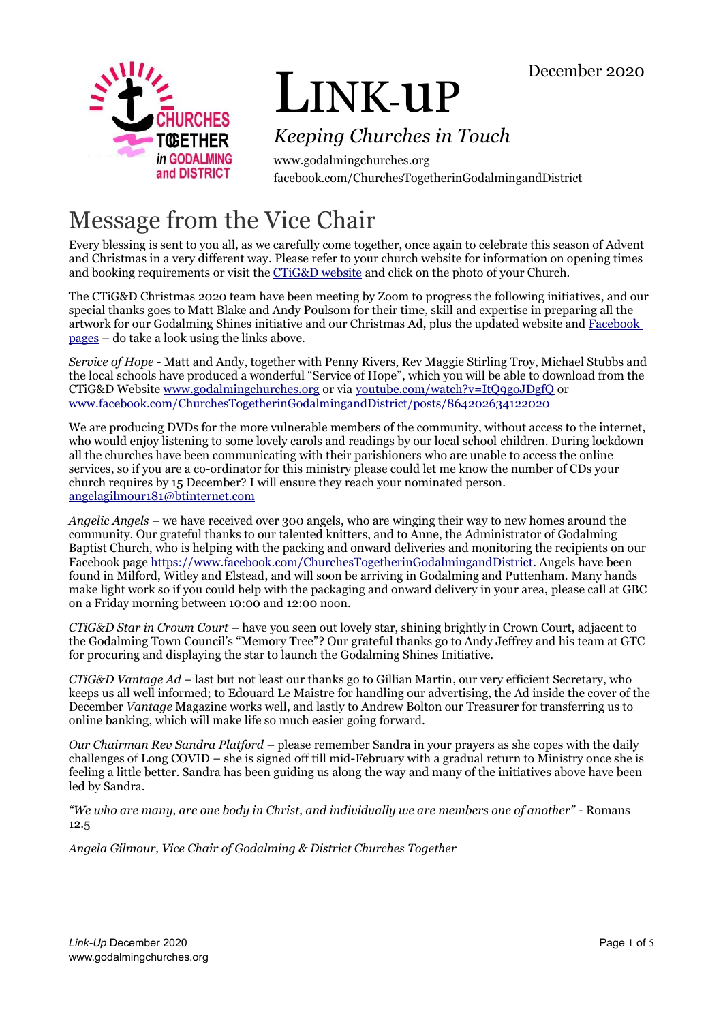

# LINK-uP

### *Keeping Churches in Touch*

www.godalmingchurches.org facebook.com/ChurchesTogetherinGodalmingandDistrict

# Message from the Vice Chair

Every blessing is sent to you all, as we carefully come together, once again to celebrate this season of Advent and Christmas in a very different way. Please refer to your church website for information on opening times and booking requirements or visit the [CTiG&D website](https://www.godalmingchurches.org/) and click on the photo of your Church.

The CTiG&D Christmas 2020 team have been meeting by Zoom to progress the following initiatives, and our special thanks goes to Matt Blake and Andy Poulsom for their time, skill and expertise in preparing all the artwork for our Godalming Shines initiative and our Christmas Ad, plus the updated website and [Facebook](https://www.facebook.com/ChurchesTogetherinGodalmingandDistrict/)  [pages](https://www.facebook.com/ChurchesTogetherinGodalmingandDistrict/) – do take a look using the links above.

*Service of Hope* - Matt and Andy, together with Penny Rivers, Rev Maggie Stirling Troy, Michael Stubbs and the local schools have produced a wonderful "Service of Hope", which you will be able to download from the CTiG&D Website [www.godalmingchurches.org](https://www.godalmingchurches.org/) or via [youtube.com/watch?v=ItQ9goJDgfQ](https://www.youtube.com/watch?v=ItQ9goJDgfQ) or [www.facebook.com/ChurchesTogetherinGodalmingandDistrict/posts/864202634122020](https://www.facebook.com/ChurchesTogetherinGodalmingandDistrict/posts/864202634122020)

We are producing DVDs for the more vulnerable members of the community, without access to the internet, who would enjoy listening to some lovely carols and readings by our local school children. During lockdown all the churches have been communicating with their parishioners who are unable to access the online services, so if you are a co-ordinator for this ministry please could let me know the number of CDs your church requires by 15 December? I will ensure they reach your nominated person. [angelagilmour181@btinternet.com](mailto:angelagilmour181@btinternet.com)

*Angelic Angels* – we have received over 300 angels, who are winging their way to new homes around the community. Our grateful thanks to our talented knitters, and to Anne, the Administrator of Godalming Baptist Church, who is helping with the packing and onward deliveries and monitoring the recipients on our Facebook page [https://www.facebook.com/ChurchesTogetherinGodalmingandDistrict.](https://www.facebook.com/ChurchesTogetherinGodalmingandDistrict) Angels have been found in Milford, Witley and Elstead, and will soon be arriving in Godalming and Puttenham. Many hands make light work so if you could help with the packaging and onward delivery in your area, please call at GBC on a Friday morning between 10:00 and 12:00 noon.

*CTiG&D Star in Crown Court* – have you seen out lovely star, shining brightly in Crown Court, adjacent to the Godalming Town Council's "Memory Tree"? Our grateful thanks go to Andy Jeffrey and his team at GTC for procuring and displaying the star to launch the Godalming Shines Initiative.

*CTiG&D Vantage Ad* – last but not least our thanks go to Gillian Martin, our very efficient Secretary, who keeps us all well informed; to Edouard Le Maistre for handling our advertising, the Ad inside the cover of the December *Vantage* Magazine works well, and lastly to Andrew Bolton our Treasurer for transferring us to online banking, which will make life so much easier going forward.

*Our Chairman Rev Sandra Platford* – please remember Sandra in your prayers as she copes with the daily challenges of Long COVID – she is signed off till mid-February with a gradual return to Ministry once she is feeling a little better. Sandra has been guiding us along the way and many of the initiatives above have been led by Sandra.

*"We who are many, are one body in Christ, and individually we are members one of another"* - Romans 12.5

*Angela Gilmour, Vice Chair of Godalming & District Churches Together*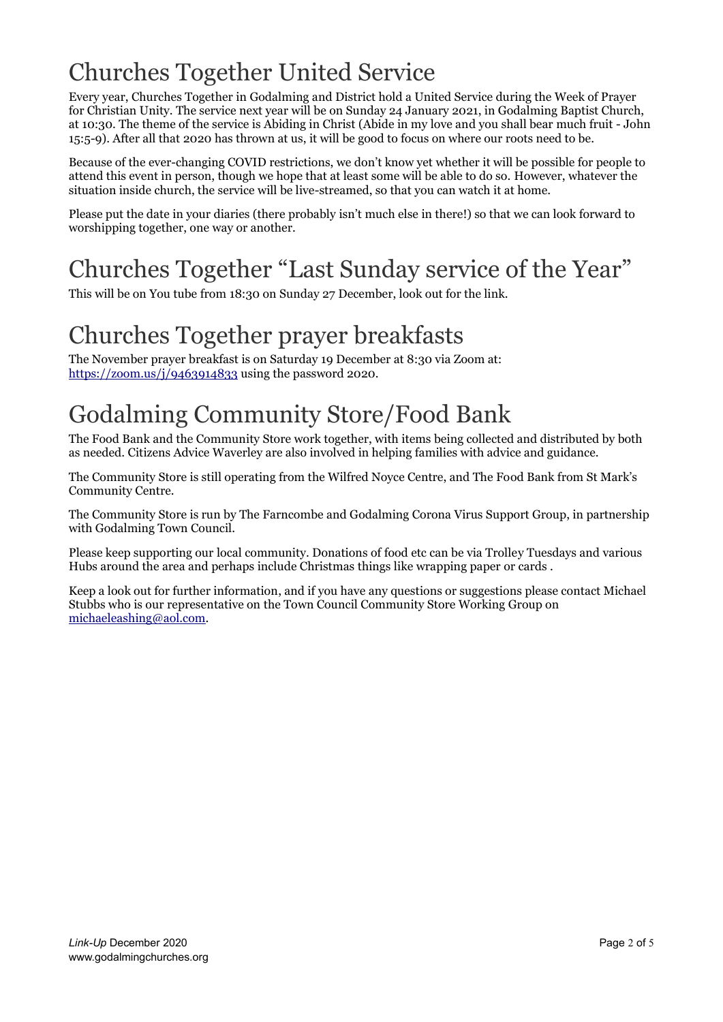# Churches Together United Service

Every year, Churches Together in Godalming and District hold a United Service during the Week of Prayer for Christian Unity. The service next year will be on Sunday 24 January 2021, in Godalming Baptist Church, at 10:30. The theme of the service is Abiding in Christ (Abide in my love and you shall bear much fruit - John 15:5-9). After all that 2020 has thrown at us, it will be good to focus on where our roots need to be.

Because of the ever-changing COVID restrictions, we don't know yet whether it will be possible for people to attend this event in person, though we hope that at least some will be able to do so. However, whatever the situation inside church, the service will be live-streamed, so that you can watch it at home.

Please put the date in your diaries (there probably isn't much else in there!) so that we can look forward to worshipping together, one way or another.

# Churches Together "Last Sunday service of the Year"

This will be on You tube from 18:30 on Sunday 27 December, look out for the link.

# Churches Together prayer breakfasts

The November prayer breakfast is on Saturday 19 December at 8:30 via Zoom at: <https://zoom.us/j/9463914833> using the password 2020.

### Godalming Community Store/Food Bank

The Food Bank and the Community Store work together, with items being collected and distributed by both as needed. Citizens Advice Waverley are also involved in helping families with advice and guidance.

The Community Store is still operating from the Wilfred Noyce Centre, and The Food Bank from St Mark's Community Centre.

The Community Store is run by The Farncombe and Godalming Corona Virus Support Group, in partnership with Godalming Town Council.

Please keep supporting our local community. Donations of food etc can be via Trolley Tuesdays and various Hubs around the area and perhaps include Christmas things like wrapping paper or cards .

Keep a look out for further information, and if you have any questions or suggestions please contact Michael Stubbs who is our representative on the Town Council Community Store Working Group on [michaeleashing@aol.com.](mailto:michaeleashing@aol.com)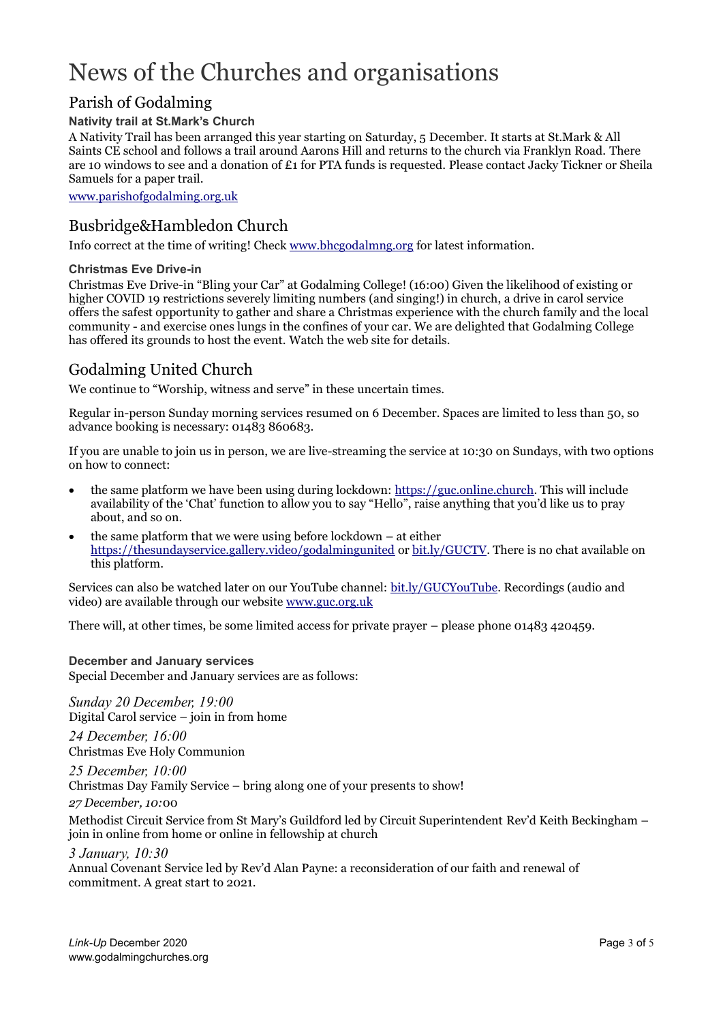# News of the Churches and organisations

### Parish of Godalming

#### **Nativity trail at St.Mark's Church**

A Nativity Trail has been arranged this year starting on Saturday, 5 December. It starts at St.Mark & All Saints CE school and follows a trail around Aarons Hill and returns to the church via Franklyn Road. There are 10 windows to see and a donation of £1 for PTA funds is requested. Please contact Jacky Tickner or Sheila Samuels for a paper trail.

[www.parishofgodalming.org.uk](https://www.parishofgodalming.org.uk/)

### Busbridge&Hambledon Church

Info correct at the time of writing! Chec[k www.bhcgodalmng.org](https://www.bhcgodalmng.org/) for latest information.

#### **Christmas Eve Drive-in**

Christmas Eve Drive-in "Bling your Car" at Godalming College! (16:00) Given the likelihood of existing or higher COVID 19 restrictions severely limiting numbers (and singing!) in church, a drive in carol service offers the safest opportunity to gather and share a Christmas experience with the church family and the local community - and exercise ones lungs in the confines of your car. We are delighted that Godalming College has offered its grounds to host the event. Watch the web site for details.

### Godalming United Church

We continue to "Worship, witness and serve" in these uncertain times.

Regular in-person Sunday morning services resumed on 6 December. Spaces are limited to less than 50, so advance booking is necessary: 01483 860683.

If you are unable to join us in person, we are live-streaming the service at 10:30 on Sundays, with two options on how to connect:

- the same platform we have been using during lockdown: [https://guc.online.church.](https://guc.online.church/) This will include availability of the 'Chat' function to allow you to say "Hello", raise anything that you'd like us to pray about, and so on.
- the same platform that we were using before lockdown  $-$  at either <https://thesundayservice.gallery.video/godalmingunited> o[r bit.ly/GUCTV.](https://bit.ly/GUCTV) There is no chat available on this platform.

Services can also be watched later on our YouTube channel: [bit.ly/GUCYouTube.](https://bit.ly/GUCYouTube) Recordings (audio and video) are available through our website [www.guc.org.uk](https://www.guc.org.uk/)

There will, at other times, be some limited access for private prayer – please phone 01483 420459.

#### **December and January services**

Special December and January services are as follows:

*Sunday 20 December, 19:00* Digital Carol service – join in from home

*24 December, 16:00* Christmas Eve Holy Communion

*25 December, 10:00* Christmas Day Family Service – bring along one of your presents to show!

*27 December, 10:*00

Methodist Circuit Service from St Mary's Guildford led by Circuit Superintendent Rev'd Keith Beckingham – join in online from home or online in fellowship at church

*3 January, 10:30*

Annual Covenant Service led by Rev'd Alan Payne: a reconsideration of our faith and renewal of commitment. A great start to 2021.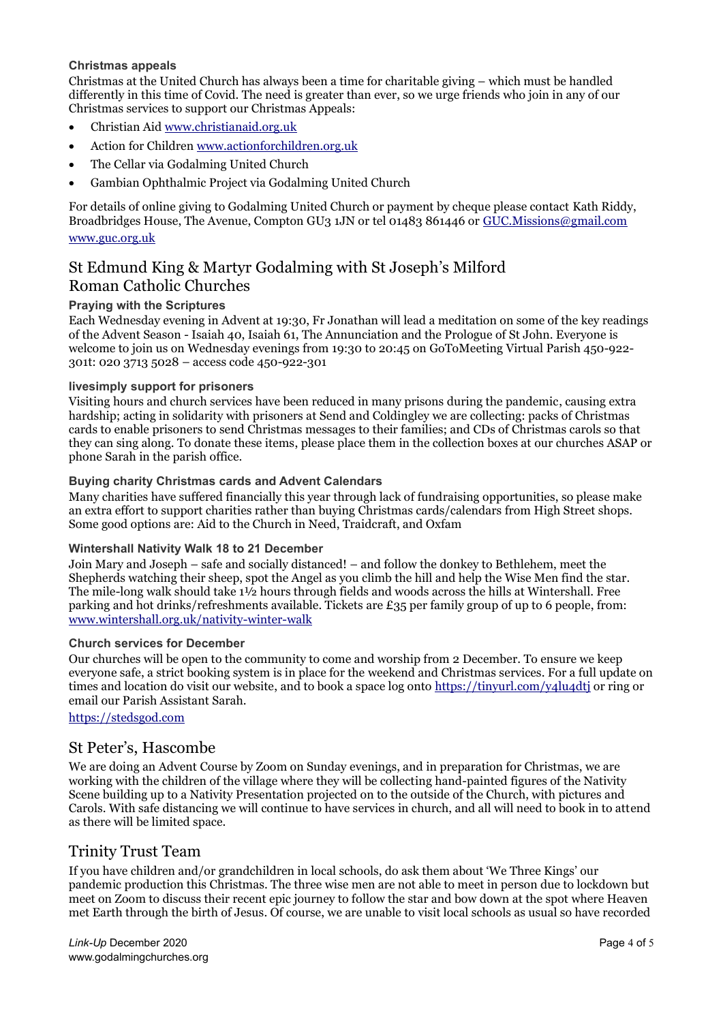#### **Christmas appeals**

Christmas at the United Church has always been a time for charitable giving – which must be handled differently in this time of Covid. The need is greater than ever, so we urge friends who join in any of our Christmas services to support our Christmas Appeals:

- Christian Aid [www.christianaid.org.uk](http://www.christianaid.org.uk/)
- Action for Children [www.actionforchildren.org.uk](http://www.actionforchildren.org.uk/)
- The Cellar via Godalming United Church
- Gambian Ophthalmic Project via Godalming United Church

For details of online giving to Godalming United Church or payment by cheque please contact Kath Riddy, Broadbridges House, The Avenue, Compton GU3 1JN or tel 01483 861446 or [GUC.Missions@gmail.com](mailto:GUC.Missions@gmail.com) [www.guc.org.uk](http://www.guc.org.uk/)

### St Edmund King & Martyr Godalming with St Joseph's Milford Roman Catholic Churches

#### **Praying with the Scriptures**

Each Wednesday evening in Advent at 19:30, Fr Jonathan will lead a meditation on some of the key readings of the Advent Season - Isaiah 40, Isaiah 61, The Annunciation and the Prologue of St John. Everyone is welcome to join us on Wednesday evenings from 19:30 to 20:45 on GoToMeeting Virtual Parish 450-922- 301t: 020 3713 5028 – access code 450-922-301

#### **livesimply support for prisoners**

Visiting hours and church services have been reduced in many prisons during the pandemic, causing extra hardship; acting in solidarity with prisoners at Send and Coldingley we are collecting: packs of Christmas cards to enable prisoners to send Christmas messages to their families; and CDs of Christmas carols so that they can sing along. To donate these items, please place them in the collection boxes at our churches ASAP or phone Sarah in the parish office.

#### **Buying charity Christmas cards and Advent Calendars**

Many charities have suffered financially this year through lack of fundraising opportunities, so please make an extra effort to support charities rather than buying Christmas cards/calendars from High Street shops. Some good options are: Aid to the Church in Need, Traidcraft, and Oxfam

#### **Wintershall Nativity Walk 18 to 21 December**

Join Mary and Joseph – safe and socially distanced! – and follow the donkey to Bethlehem, meet the Shepherds watching their sheep, spot the Angel as you climb the hill and help the Wise Men find the star. The mile-long walk should take 1½ hours through fields and woods across the hills at Wintershall. Free parking and hot drinks/refreshments available. Tickets are £35 per family group of up to 6 people, from: [www.wintershall.org.uk/nativity-winter-walk](https://www.wintershall.org.uk/nativity-winter-walk)

#### **Church services for December**

Our churches will be open to the community to come and worship from 2 December. To ensure we keep everyone safe, a strict booking system is in place for the weekend and Christmas services. For a full update on times and location do visit our website, and to book a space log onto<https://tinyurl.com/y4lu4dtj> or ring or email our Parish Assistant Sarah.

#### [https://stedsgod.com](https://stedsgod.com/)

#### St Peter's, Hascombe

We are doing an Advent Course by Zoom on Sunday evenings, and in preparation for Christmas, we are working with the children of the village where they will be collecting hand-painted figures of the Nativity Scene building up to a Nativity Presentation projected on to the outside of the Church, with pictures and Carols. With safe distancing we will continue to have services in church, and all will need to book in to attend as there will be limited space.

#### Trinity Trust Team

If you have children and/or grandchildren in local schools, do ask them about 'We Three Kings' our pandemic production this Christmas. The three wise men are not able to meet in person due to lockdown but meet on Zoom to discuss their recent epic journey to follow the star and bow down at the spot where Heaven met Earth through the birth of Jesus. Of course, we are unable to visit local schools as usual so have recorded